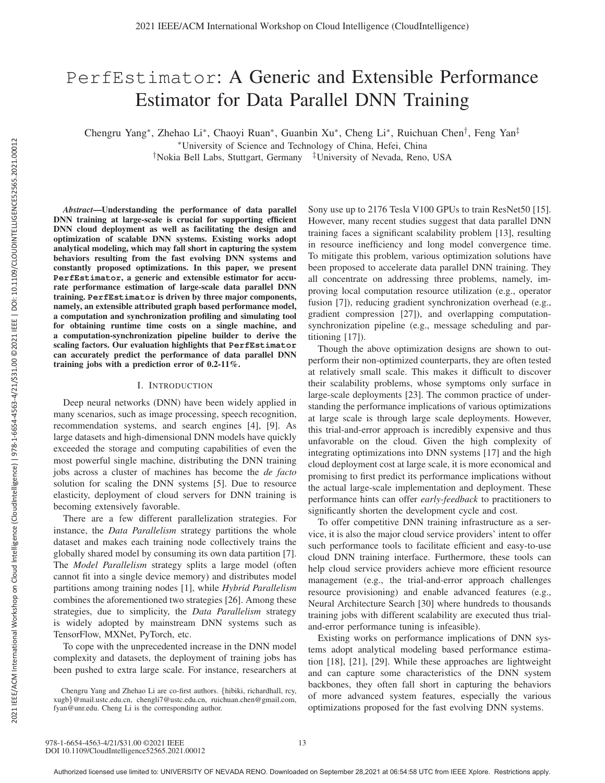# PerfEstimator: A Generic and Extensible Performance Estimator for Data Parallel DNN Training

Chengru Yang∗, Zhehao Li∗, Chaoyi Ruan∗, Guanbin Xu∗, Cheng Li∗, Ruichuan Chen†, Feng Yan‡

∗University of Science and Technology of China, Hefei, China

†Nokia Bell Labs, Stuttgart, Germany ‡University of Nevada, Reno, USA

*Abstract*—Understanding the performance of data parallel DNN training at large-scale is crucial for supporting efficient DNN cloud deployment as well as facilitating the design and optimization of scalable DNN systems. Existing works adopt analytical modeling, which may fall short in capturing the system behaviors resulting from the fast evolving DNN systems and constantly proposed optimizations. In this paper, we present **PerfEstimator**, a generic and extensible estimator for accurate performance estimation of large-scale data parallel DNN training. **PerfEstimator** is driven by three major components, namely, an extensible attributed graph based performance model, a computation and synchronization profiling and simulating tool for obtaining runtime time costs on a single machine, and a computation-synchronization pipeline builder to derive the scaling factors. Our evaluation highlights that **PerfEstimator** can accurately predict the performance of data parallel DNN training jobs with a prediction error of 0.2-11%.

## I. INTRODUCTION

Deep neural networks (DNN) have been widely applied in many scenarios, such as image processing, speech recognition, recommendation systems, and search engines [4], [9]. As large datasets and high-dimensional DNN models have quickly exceeded the storage and computing capabilities of even the most powerful single machine, distributing the DNN training jobs across a cluster of machines has become the *de facto* solution for scaling the DNN systems [5]. Due to resource elasticity, deployment of cloud servers for DNN training is becoming extensively favorable.

There are a few different parallelization strategies. For instance, the *Data Parallelism* strategy partitions the whole dataset and makes each training node collectively trains the globally shared model by consuming its own data partition [7]. The *Model Parallelism* strategy splits a large model (often cannot fit into a single device memory) and distributes model partitions among training nodes [1], while *Hybrid Parallelism* combines the aforementioned two strategies [26]. Among these strategies, due to simplicity, the *Data Parallelism* strategy is widely adopted by mainstream DNN systems such as TensorFlow, MXNet, PyTorch, etc.

To cope with the unprecedented increase in the DNN model complexity and datasets, the deployment of training jobs has been pushed to extra large scale. For instance, researchers at Sony use up to 2176 Tesla V100 GPUs to train ResNet50 [15]. However, many recent studies suggest that data parallel DNN training faces a significant scalability problem [13], resulting in resource inefficiency and long model convergence time. To mitigate this problem, various optimization solutions have been proposed to accelerate data parallel DNN training. They all concentrate on addressing three problems, namely, improving local computation resource utilization (e.g., operator fusion [7]), reducing gradient synchronization overhead (e.g., gradient compression [27]), and overlapping computationsynchronization pipeline (e.g., message scheduling and partitioning [17]).

Though the above optimization designs are shown to outperform their non-optimized counterparts, they are often tested at relatively small scale. This makes it difficult to discover their scalability problems, whose symptoms only surface in large-scale deployments [23]. The common practice of understanding the performance implications of various optimizations at large scale is through large scale deployments. However, this trial-and-error approach is incredibly expensive and thus unfavorable on the cloud. Given the high complexity of integrating optimizations into DNN systems [17] and the high cloud deployment cost at large scale, it is more economical and promising to first predict its performance implications without the actual large-scale implementation and deployment. These performance hints can offer *early-feedback* to practitioners to significantly shorten the development cycle and cost.

To offer competitive DNN training infrastructure as a service, it is also the major cloud service providers' intent to offer such performance tools to facilitate efficient and easy-to-use cloud DNN training interface. Furthermore, these tools can help cloud service providers achieve more efficient resource management (e.g., the trial-and-error approach challenges resource provisioning) and enable advanced features (e.g., Neural Architecture Search [30] where hundreds to thousands training jobs with different scalability are executed thus trialand-error performance tuning is infeasible).

Existing works on performance implications of DNN systems adopt analytical modeling based performance estimation [18], [21], [29]. While these approaches are lightweight and can capture some characteristics of the DNN system backbones, they often fall short in capturing the behaviors of more advanced system features, especially the various optimizations proposed for the fast evolving DNN systems.

Chengru Yang and Zhehao Li are co-first authors. {hibiki, richardhall, rcy, xugb}@mail.ustc.edu.cn, chengli7@ustc.edu.cn, ruichuan.chen@gmail.com, fyan@unr.edu. Cheng Li is the corresponding author.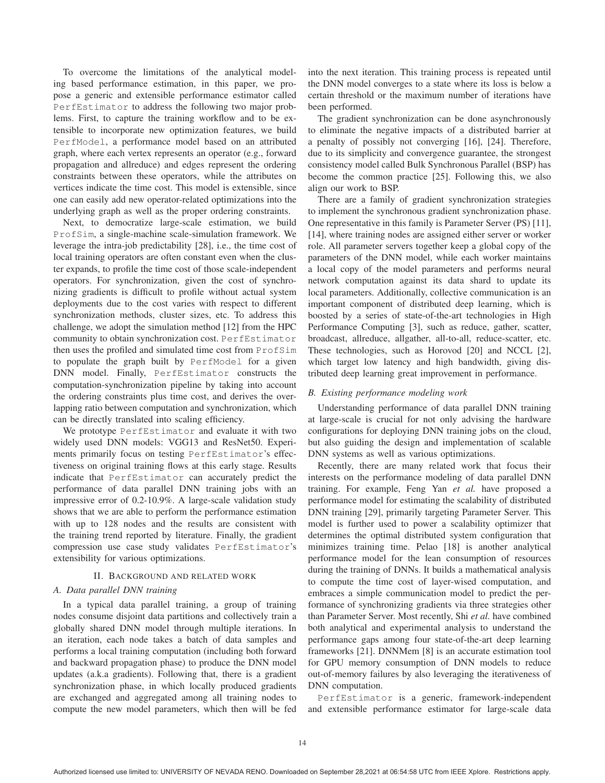To overcome the limitations of the analytical modeling based performance estimation, in this paper, we propose a generic and extensible performance estimator called PerfEstimator to address the following two major problems. First, to capture the training workflow and to be extensible to incorporate new optimization features, we build PerfModel, a performance model based on an attributed graph, where each vertex represents an operator (e.g., forward propagation and allreduce) and edges represent the ordering constraints between these operators, while the attributes on vertices indicate the time cost. This model is extensible, since one can easily add new operator-related optimizations into the underlying graph as well as the proper ordering constraints.

Next, to democratize large-scale estimation, we build ProfSim, a single-machine scale-simulation framework. We leverage the intra-job predictability [28], i.e., the time cost of local training operators are often constant even when the cluster expands, to profile the time cost of those scale-independent operators. For synchronization, given the cost of synchronizing gradients is difficult to profile without actual system deployments due to the cost varies with respect to different synchronization methods, cluster sizes, etc. To address this challenge, we adopt the simulation method [12] from the HPC community to obtain synchronization cost. PerfEstimator then uses the profiled and simulated time cost from ProfSim to populate the graph built by PerfModel for a given DNN model. Finally, PerfEstimator constructs the computation-synchronization pipeline by taking into account the ordering constraints plus time cost, and derives the overlapping ratio between computation and synchronization, which can be directly translated into scaling efficiency.

We prototype PerfEstimator and evaluate it with two widely used DNN models: VGG13 and ResNet50. Experiments primarily focus on testing PerfEstimator's effectiveness on original training flows at this early stage. Results indicate that PerfEstimator can accurately predict the performance of data parallel DNN training jobs with an impressive error of 0.2-10.9%. A large-scale validation study shows that we are able to perform the performance estimation with up to 128 nodes and the results are consistent with the training trend reported by literature. Finally, the gradient compression use case study validates PerfEstimator's extensibility for various optimizations.

## II. BACKGROUND AND RELATED WORK

## *A. Data parallel DNN training*

In a typical data parallel training, a group of training nodes consume disjoint data partitions and collectively train a globally shared DNN model through multiple iterations. In an iteration, each node takes a batch of data samples and performs a local training computation (including both forward and backward propagation phase) to produce the DNN model updates (a.k.a gradients). Following that, there is a gradient synchronization phase, in which locally produced gradients are exchanged and aggregated among all training nodes to compute the new model parameters, which then will be fed into the next iteration. This training process is repeated until the DNN model converges to a state where its loss is below a certain threshold or the maximum number of iterations have been performed.

The gradient synchronization can be done asynchronously to eliminate the negative impacts of a distributed barrier at a penalty of possibly not converging [16], [24]. Therefore, due to its simplicity and convergence guarantee, the strongest consistency model called Bulk Synchronous Parallel (BSP) has become the common practice [25]. Following this, we also align our work to BSP.

There are a family of gradient synchronization strategies to implement the synchronous gradient synchronization phase. One representative in this family is Parameter Server (PS) [11], [14], where training nodes are assigned either server or worker role. All parameter servers together keep a global copy of the parameters of the DNN model, while each worker maintains a local copy of the model parameters and performs neural network computation against its data shard to update its local parameters. Additionally, collective communication is an important component of distributed deep learning, which is boosted by a series of state-of-the-art technologies in High Performance Computing [3], such as reduce, gather, scatter, broadcast, allreduce, allgather, all-to-all, reduce-scatter, etc. These technologies, such as Horovod [20] and NCCL [2], which target low latency and high bandwidth, giving distributed deep learning great improvement in performance.

## *B. Existing performance modeling work*

Understanding performance of data parallel DNN training at large-scale is crucial for not only advising the hardware configurations for deploying DNN training jobs on the cloud, but also guiding the design and implementation of scalable DNN systems as well as various optimizations.

Recently, there are many related work that focus their interests on the performance modeling of data parallel DNN training. For example, Feng Yan *et al.* have proposed a performance model for estimating the scalability of distributed DNN training [29], primarily targeting Parameter Server. This model is further used to power a scalability optimizer that determines the optimal distributed system configuration that minimizes training time. Pelao [18] is another analytical performance model for the lean consumption of resources during the training of DNNs. It builds a mathematical analysis to compute the time cost of layer-wised computation, and embraces a simple communication model to predict the performance of synchronizing gradients via three strategies other than Parameter Server. Most recently, Shi *et al.* have combined both analytical and experimental analysis to understand the performance gaps among four state-of-the-art deep learning frameworks [21]. DNNMem [8] is an accurate estimation tool for GPU memory consumption of DNN models to reduce out-of-memory failures by also leveraging the iterativeness of DNN computation.

PerfEstimator is a generic, framework-independent and extensible performance estimator for large-scale data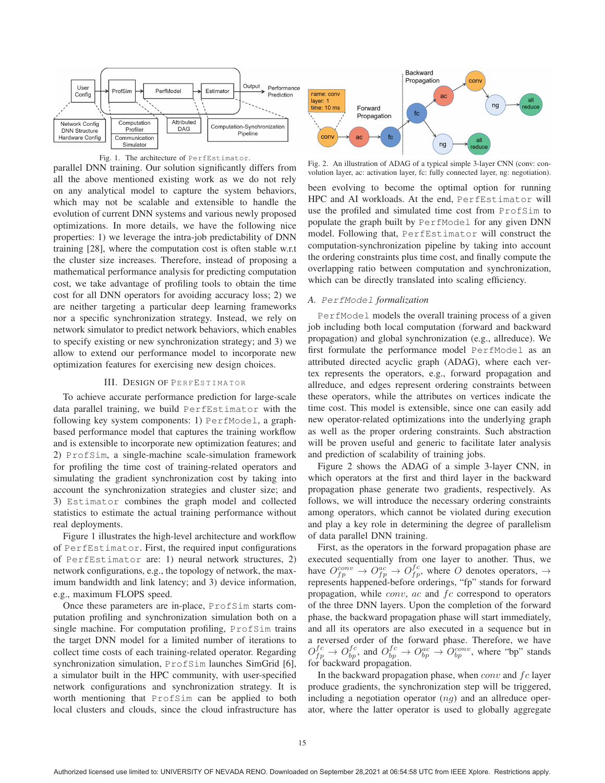



parallel DNN training. Our solution significantly differs from all the above mentioned existing work as we do not rely on any analytical model to capture the system behaviors, which may not be scalable and extensible to handle the evolution of current DNN systems and various newly proposed optimizations. In more details, we have the following nice properties: 1) we leverage the intra-job predictability of DNN training [28], where the computation cost is often stable w.r.t the cluster size increases. Therefore, instead of proposing a mathematical performance analysis for predicting computation cost, we take advantage of profiling tools to obtain the time cost for all DNN operators for avoiding accuracy loss; 2) we are neither targeting a particular deep learning frameworks nor a specific synchronization strategy. Instead, we rely on network simulator to predict network behaviors, which enables to specify existing or new synchronization strategy; and 3) we allow to extend our performance model to incorporate new optimization features for exercising new design choices.

#### III. DESIGN OF PERFESTIMATOR

To achieve accurate performance prediction for large-scale data parallel training, we build PerfEstimator with the following key system components: 1) PerfModel, a graphbased performance model that captures the training workflow and is extensible to incorporate new optimization features; and 2) ProfSim, a single-machine scale-simulation framework for profiling the time cost of training-related operators and simulating the gradient synchronization cost by taking into account the synchronization strategies and cluster size; and 3) Estimator combines the graph model and collected statistics to estimate the actual training performance without real deployments.

Figure 1 illustrates the high-level architecture and workflow of PerfEstimator. First, the required input configurations of PerfEstimator are: 1) neural network structures, 2) network configurations, e.g., the topology of network, the maximum bandwidth and link latency; and 3) device information, e.g., maximum FLOPS speed.

Once these parameters are in-place, ProfSim starts computation profiling and synchronization simulation both on a single machine. For computation profiling, ProfSim trains the target DNN model for a limited number of iterations to collect time costs of each training-related operator. Regarding synchronization simulation, ProfSim launches SimGrid [6], a simulator built in the HPC community, with user-specified network configurations and synchronization strategy. It is worth mentioning that ProfSim can be applied to both local clusters and clouds, since the cloud infrastructure has



Fig. 2. An illustration of ADAG of a typical simple 3-layer CNN (conv: convolution layer, ac: activation layer, fc: fully connected layer, ng: negotiation).

been evolving to become the optimal option for running HPC and AI workloads. At the end, PerfEstimator will use the profiled and simulated time cost from ProfSim to populate the graph built by PerfModel for any given DNN model. Following that, PerfEstimator will construct the computation-synchronization pipeline by taking into account the ordering constraints plus time cost, and finally compute the overlapping ratio between computation and synchronization, which can be directly translated into scaling efficiency.

## *A.* PerfModel *formalization*

PerfModel models the overall training process of a given job including both local computation (forward and backward propagation) and global synchronization (e.g., allreduce). We first formulate the performance model PerfModel as an attributed directed acyclic graph (ADAG), where each vertex represents the operators, e.g., forward propagation and allreduce, and edges represent ordering constraints between these operators, while the attributes on vertices indicate the time cost. This model is extensible, since one can easily add new operator-related optimizations into the underlying graph as well as the proper ordering constraints. Such abstraction will be proven useful and generic to facilitate later analysis and prediction of scalability of training jobs.

Figure 2 shows the ADAG of a simple 3-layer CNN, in which operators at the first and third layer in the backward propagation phase generate two gradients, respectively. As follows, we will introduce the necessary ordering constraints among operators, which cannot be violated during execution and play a key role in determining the degree of parallelism of data parallel DNN training.

First, as the operators in the forward propagation phase are executed sequentially from one layer to another. Thus, we have  $O_{fp}^{conv} \rightarrow O_{fp}^{ac} \rightarrow O_{fp}^{fc}$ , where O denotes operators,  $\rightarrow$ represents happened-before orderings, "fp" stands for forward propagation, while  $conv$ ,  $ac$  and  $fc$  correspond to operators of the three DNN layers. Upon the completion of the forward phase, the backward propagation phase will start immediately, and all its operators are also executed in a sequence but in a reversed order of the forward phase. Therefore, we have  $O_{fp}^{fc} \rightarrow O_{bp}^{fc}$ , and  $O_{bp}^{fc} \rightarrow O_{bp}^{ac} \rightarrow O_{bp}^{conv}$ , where "bp" stands for backward propagation.

In the backward propagation phase, when  $conv$  and  $fc$  layer produce gradients, the synchronization step will be triggered, including a negotiation operator  $(nq)$  and an allreduce operator, where the latter operator is used to globally aggregate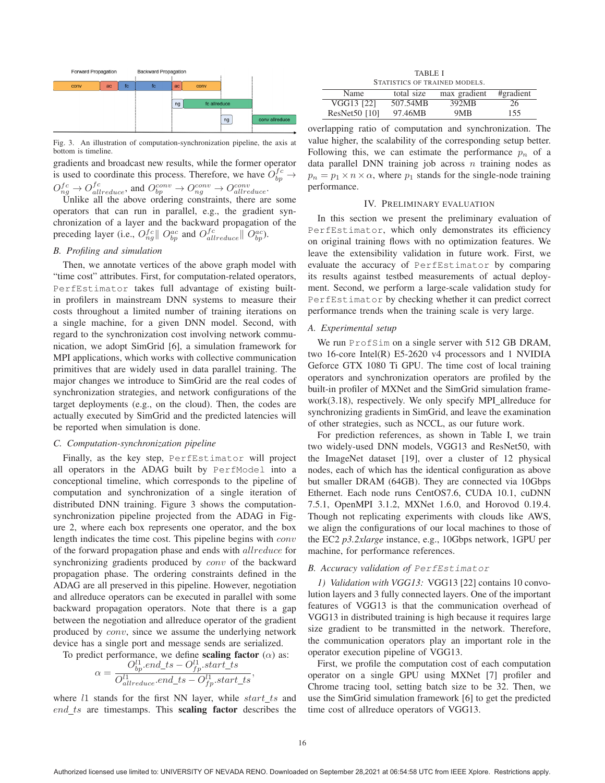

Fig. 3. An illustration of computation-synchronization pipeline, the axis at bottom is timeline.

gradients and broadcast new results, while the former operator is used to coordinate this process. Therefore, we have  $\hat{O}_{bp}^{fc} \rightarrow$  $O_{ng}^{fc} \rightarrow O_{allreduce}^{fc}$ , and  $O_{bp}^{conv} \rightarrow O_{ng}^{conv} \rightarrow O_{allreduce}^{conv}$ .

Unlike all the above ordering constraints, there are some operators that can run in parallel, e.g., the gradient synchronization of a layer and the backward propagation of the preceding layer (i.e.,  $O_{ng}^{fc} || O_{bp}^{ac}$  and  $O_{allreduce}^{fc} || O_{bp}^{ac}$ ).

## *B. Profiling and simulation*

Then, we annotate vertices of the above graph model with "time cost" attributes. First, for computation-related operators, PerfEstimator takes full advantage of existing builtin profilers in mainstream DNN systems to measure their costs throughout a limited number of training iterations on a single machine, for a given DNN model. Second, with regard to the synchronization cost involving network communication, we adopt SimGrid [6], a simulation framework for MPI applications, which works with collective communication primitives that are widely used in data parallel training. The major changes we introduce to SimGrid are the real codes of synchronization strategies, and network configurations of the target deployments (e.g., on the cloud). Then, the codes are actually executed by SimGrid and the predicted latencies will be reported when simulation is done.

#### *C. Computation-synchronization pipeline*

Finally, as the key step, PerfEstimator will project all operators in the ADAG built by PerfModel into a conceptional timeline, which corresponds to the pipeline of computation and synchronization of a single iteration of distributed DNN training. Figure 3 shows the computationsynchronization pipeline projected from the ADAG in Figure 2, where each box represents one operator, and the box length indicates the time cost. This pipeline begins with conv of the forward propagation phase and ends with allreduce for synchronizing gradients produced by conv of the backward propagation phase. The ordering constraints defined in the ADAG are all preserved in this pipeline. However, negotiation and allreduce operators can be executed in parallel with some backward propagation operators. Note that there is a gap between the negotiation and allreduce operator of the gradient produced by conv, since we assume the underlying network device has a single port and message sends are serialized.

To predict performance, we define scaling factor (
$$
\alpha
$$
) as:

$$
\alpha = \frac{O_{bp}^{l1}.end\_ts - O_{fp}^{l1}.start\_ts}{O_{allreduce}^{l1}.end\_ts - O_{fp}.start\_ts},
$$

where  $l_1$  stands for the first NN layer, while start\_ts and  $end\_ts$  are timestamps. This scaling factor describes the

TABLE I STATISTICS OF TRAINED MODELS.

| <u>Ummundo Ummund mudd</u> |            |              |           |  |
|----------------------------|------------|--------------|-----------|--|
| Name                       | total size | max gradient | #gradient |  |
| VGG13 [22]                 | 507.54MB   | 392MB        | 26        |  |
| $ResNet50$ [10]            | 97.46MB    | 9MB          | 155       |  |

overlapping ratio of computation and synchronization. The value higher, the scalability of the corresponding setup better. Following this, we can estimate the performance  $p_n$  of a data parallel DNN training job across  $n$  training nodes as  $p_n = p_1 \times n \times \alpha$ , where  $p_1$  stands for the single-node training performance.

## IV. PRELIMINARY EVALUATION

In this section we present the preliminary evaluation of PerfEstimator, which only demonstrates its efficiency on original training flows with no optimization features. We leave the extensibility validation in future work. First, we evaluate the accuracy of PerfEstimator by comparing its results against testbed measurements of actual deployment. Second, we perform a large-scale validation study for PerfEstimator by checking whether it can predict correct performance trends when the training scale is very large.

#### *A. Experimental setup*

We run ProfSim on a single server with 512 GB DRAM, two 16-core Intel(R) E5-2620 v4 processors and 1 NVIDIA Geforce GTX 1080 Ti GPU. The time cost of local training operators and synchronization operators are profiled by the built-in profiler of MXNet and the SimGrid simulation framework(3.18), respectively. We only specify MPI\_allreduce for synchronizing gradients in SimGrid, and leave the examination of other strategies, such as NCCL, as our future work.

For prediction references, as shown in Table I, we train two widely-used DNN models, VGG13 and ResNet50, with the ImageNet dataset [19], over a cluster of 12 physical nodes, each of which has the identical configuration as above but smaller DRAM (64GB). They are connected via 10Gbps Ethernet. Each node runs CentOS7.6, CUDA 10.1, cuDNN 7.5.1, OpenMPI 3.1.2, MXNet 1.6.0, and Horovod 0.19.4. Though not replicating experiments with clouds like AWS, we align the configurations of our local machines to those of the EC2 *p3.2xlarge* instance, e.g., 10Gbps network, 1GPU per machine, for performance references.

## *B. Accuracy validation of* PerfEstimator

*1) Validation with VGG13:* VGG13 [22] contains 10 convolution layers and 3 fully connected layers. One of the important features of VGG13 is that the communication overhead of VGG13 in distributed training is high because it requires large size gradient to be transmitted in the network. Therefore, the communication operators play an important role in the operator execution pipeline of VGG13.

First, we profile the computation cost of each computation operator on a single GPU using MXNet [7] profiler and Chrome tracing tool, setting batch size to be 32. Then, we use the SimGrid simulation framework [6] to get the predicted time cost of allreduce operators of VGG13.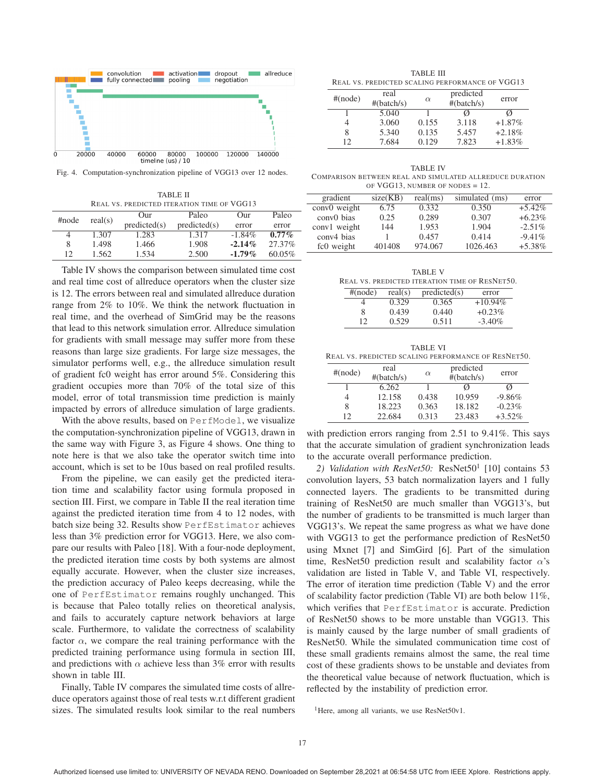

Fig. 4. Computation-synchronization pipeline of VGG13 over 12 nodes.

TABLE II REAL VS. PREDICTED ITERATION TIME OF VGG13

| $\#$ node | real(s) | Our          | Paleo        | Our       | Paleo     |  |  |  |
|-----------|---------|--------------|--------------|-----------|-----------|--|--|--|
|           |         | predicted(s) | predicted(s) | error     | error     |  |  |  |
|           | 1.307   | 1.283        | 1.317        | $-1.84\%$ | $0.77\%$  |  |  |  |
| 8         | 1.498   | 1.466        | 1.908        | $-2.14\%$ | 27.37%    |  |  |  |
| 12        | 1.562   | 1.534        | 2.500        | $-1.79\%$ | $60.05\%$ |  |  |  |

Table IV shows the comparison between simulated time cost and real time cost of allreduce operators when the cluster size is 12. The errors between real and simulated allreduce duration range from 2% to 10%. We think the network fluctuation in real time, and the overhead of SimGrid may be the reasons that lead to this network simulation error. Allreduce simulation for gradients with small message may suffer more from these reasons than large size gradients. For large size messages, the simulator performs well, e.g., the allreduce simulation result of gradient fc0 weight has error around 5%. Considering this gradient occupies more than 70% of the total size of this model, error of total transmission time prediction is mainly impacted by errors of allreduce simulation of large gradients.

With the above results, based on PerfModel, we visualize the computation-synchronization pipeline of VGG13, drawn in the same way with Figure 3, as Figure 4 shows. One thing to note here is that we also take the operator switch time into account, which is set to be 10us based on real profiled results.

From the pipeline, we can easily get the predicted iteration time and scalability factor using formula proposed in section III. First, we compare in Table II the real iteration time against the predicted iteration time from 4 to 12 nodes, with batch size being 32. Results show PerfEstimator achieves less than 3% prediction error for VGG13. Here, we also compare our results with Paleo [18]. With a four-node deployment, the predicted iteration time costs by both systems are almost equally accurate. However, when the cluster size increases, the prediction accuracy of Paleo keeps decreasing, while the one of PerfEstimator remains roughly unchanged. This is because that Paleo totally relies on theoretical analysis, and fails to accurately capture network behaviors at large scale. Furthermore, to validate the correctness of scalability factor  $\alpha$ , we compare the real training performance with the predicted training performance using formula in section III, and predictions with  $\alpha$  achieve less than 3% error with results shown in table III.

Finally, Table IV compares the simulated time costs of allreduce operators against those of real tests w.r.t different gradient sizes. The simulated results look similar to the real numbers

TABLE III REAL VS. PREDICTED SCALING PERFORMANCE OF VGG13

| $#(\text{node})$ | real<br>#(batch/s) | $\alpha$ | predicted<br>#(batch/s) | error    |
|------------------|--------------------|----------|-------------------------|----------|
|                  | 5.040              |          | Ø                       | Ø        |
| 4                | 3.060              | 0.155    | 3.118                   | $+1.87%$ |
| 8                | 5.340              | 0.135    | 5.457                   | $+2.18%$ |
| 12               | 7.684              | 0.129    | 7.823                   | $+1.83%$ |

TABLE IV COMPARISON BETWEEN REAL AND SIMULATED ALLREDUCE DURATION OF VGG13, NUMBER OF NODES  $= 12$ .

| $0.1, 0.01, 0.1, 0.01, 0.01, 0.00, 0.00, 0.00, 0.00, 0.00, 0.00, 0.00, 0.00, 0.00, 0.00, 0.00, 0.00, 0.00, 0.00, 0.00, 0.00, 0.00, 0.00, 0.00, 0.00, 0.00, 0.00, 0.00, 0.00, 0.00, 0.00, 0.00, 0.00, 0.00, 0.00, 0.00, 0.00, $ |          |          |                |           |  |
|--------------------------------------------------------------------------------------------------------------------------------------------------------------------------------------------------------------------------------|----------|----------|----------------|-----------|--|
| gradient                                                                                                                                                                                                                       | size(KB) | real(ms) | simulated (ms) | error     |  |
| conv0 weight                                                                                                                                                                                                                   | 6.75     | 0.332    | 0.350          | $+5.42%$  |  |
| conv <sub>0</sub> bias                                                                                                                                                                                                         | 0.25     | 0.289    | 0.307          | $+6.23%$  |  |
| conv1 weight                                                                                                                                                                                                                   | 144      | 1.953    | 1.904          | $-2.51\%$ |  |
| conv4 bias                                                                                                                                                                                                                     |          | 0.457    | 0.414          | $-9.41\%$ |  |
| fc0 weight                                                                                                                                                                                                                     | 401408   | 974.067  | 1026.463       | $+5.38%$  |  |

TABLE V REAL VS. PREDICTED ITERATION TIME OF RESNET50.

| $#(\text{node})$ | real(s) | predicted(s) | error      |
|------------------|---------|--------------|------------|
|                  | 0.329   | 0.365        | $+10.94\%$ |
|                  | 0.439   | 0.440        | $+0.23\%$  |
| 12               | 0.529   | 0.511        | $-3.40\%$  |

TABLE VI REAL VS. PREDICTED SCALING PERFORMANCE OF RESNET50.

| $#(\text{node})$ | real<br>#(batch/s) | $\alpha$ | predicted<br>#(batch/s) | error     |
|------------------|--------------------|----------|-------------------------|-----------|
|                  | 6.262              |          | Ø                       | Ø         |
|                  | 12.158             | 0.438    | 10.959                  | $-9.86%$  |
| 8                | 18.223             | 0.363    | 18.182                  | $-0.23%$  |
| 12               | 22.684             | 0.313    | 23.483                  | $+3.52\%$ |

with prediction errors ranging from 2.51 to 9.41%. This says that the accurate simulation of gradient synchronization leads to the accurate overall performance prediction.

2) Validation with ResNet50: ResNet50<sup>1</sup> [10] contains 53 convolution layers, 53 batch normalization layers and 1 fully connected layers. The gradients to be transmitted during training of ResNet50 are much smaller than VGG13's, but the number of gradients to be transmitted is much larger than VGG13's. We repeat the same progress as what we have done with VGG13 to get the performance prediction of ResNet50 using Mxnet [7] and SimGird [6]. Part of the simulation time, ResNet50 prediction result and scalability factor  $\alpha$ 's validation are listed in Table V, and Table VI, respectively. The error of iteration time prediction (Table V) and the error of scalability factor prediction (Table VI) are both below 11%, which verifies that PerfEstimator is accurate. Prediction of ResNet50 shows to be more unstable than VGG13. This is mainly caused by the large number of small gradients of ResNet50. While the simulated communication time cost of these small gradients remains almost the same, the real time cost of these gradients shows to be unstable and deviates from the theoretical value because of network fluctuation, which is reflected by the instability of prediction error.

<sup>1</sup>Here, among all variants, we use ResNet50v1.